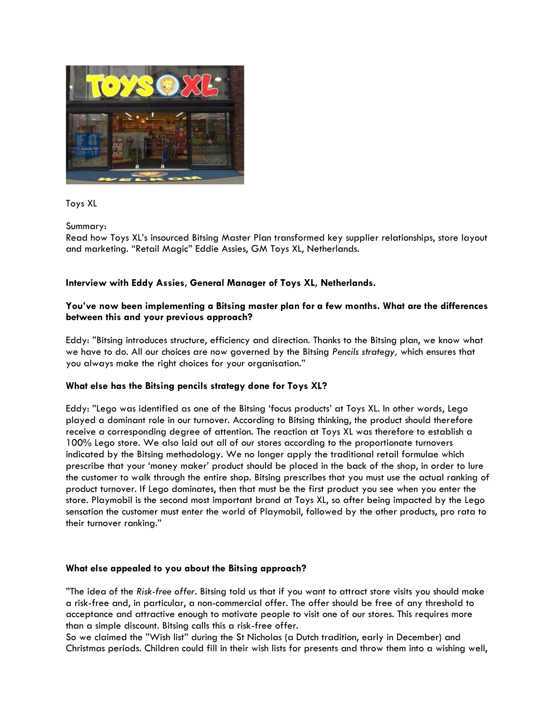

# Toys XL

Summary:

Read how Toys XL's insourced Bitsing Master Plan transformed key supplier relationships, store layout and marketing. "Retail Magic" Eddie Assies, GM Toys XL, Netherlands.

# **Interview with Eddy Assies, General Manager of Toys XL, Netherlands.**

### **You've now been implementing a Bitsing master plan for a few months. What are the differences between this and your previous approach?**

Eddy: "Bitsing introduces structure, efficiency and direction. Thanks to the Bitsing plan, we know what we have to do. All our choices are now governed by the Bitsing *Pencils strategy,* which ensures that you always make the right choices for your organisation."

# **What else has the Bitsing pencils strategy done for Toys XL?**

Eddy: "Lego was identified as one of the Bitsing 'focus products' at Toys XL. In other words, Lego played a dominant role in our turnover. According to Bitsing thinking, the product should therefore receive a corresponding degree of attention. The reaction at Toys XL was therefore to establish a 100% Lego store. We also laid out all of our stores according to the proportionate turnovers indicated by the Bitsing methodology. We no longer apply the traditional retail formulae which prescribe that your 'money maker' product should be placed in the back of the shop, in order to lure the customer to walk through the entire shop. Bitsing prescribes that you must use the actual ranking of product turnover. If Lego dominates, then that must be the first product you see when you enter the store. Playmobil is the second most important brand at Toys XL, so after being impacted by the Lego sensation the customer must enter the world of Playmobil, followed by the other products, pro rata to their turnover ranking."

#### **What else appealed to you about the Bitsing approach?**

"The idea of the *Risk-free offer*. Bitsing told us that if you want to attract store visits you should make a risk-free and, in particular, a non-commercial offer. The offer should be free of any threshold to acceptance and attractive enough to motivate people to visit one of our stores. This requires more than a simple discount. Bitsing calls this a risk-free offer.

So we claimed the "Wish list" during the St Nicholas (a Dutch tradition, early in December) and Christmas periods. Children could fill in their wish lists for presents and throw them into a wishing well,